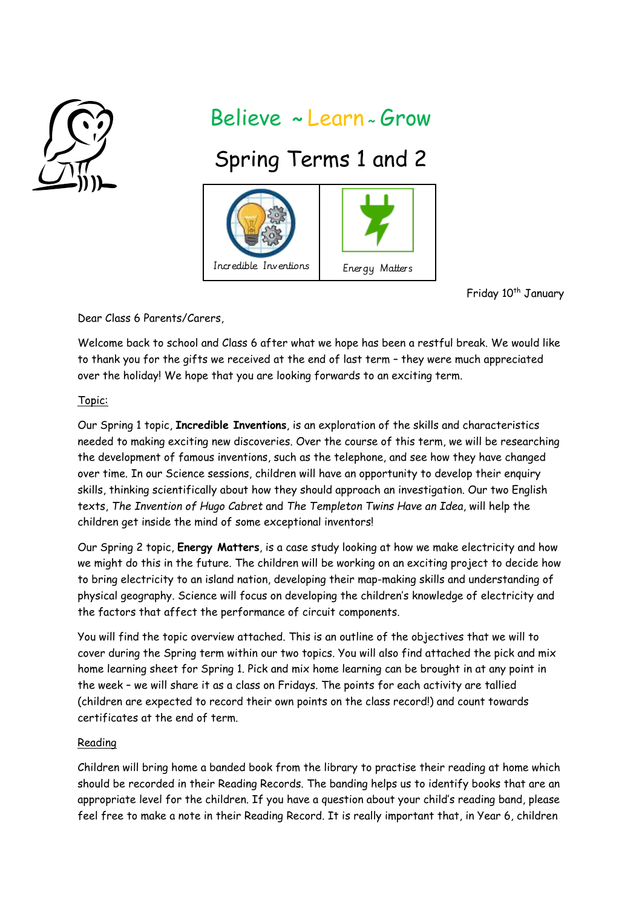

## Believe **~** Learn **<sup>~</sup>**Grow

# Spring Terms 1 and 2



Friday 10<sup>th</sup> January

Dear Class 6 Parents/Carers,

Welcome back to school and Class 6 after what we hope has been a restful break. We would like to thank you for the gifts we received at the end of last term – they were much appreciated over the holiday! We hope that you are looking forwards to an exciting term.

#### Topic:

Our Spring 1 topic, **Incredible Inventions**, is an exploration of the skills and characteristics needed to making exciting new discoveries. Over the course of this term, we will be researching the development of famous inventions, such as the telephone, and see how they have changed over time. In our Science sessions, children will have an opportunity to develop their enquiry skills, thinking scientifically about how they should approach an investigation. Our two English texts, *The Invention of Hugo Cabret* and *The Templeton Twins Have an Idea*, will help the children get inside the mind of some exceptional inventors!

Our Spring 2 topic, **Energy Matters**, is a case study looking at how we make electricity and how we might do this in the future. The children will be working on an exciting project to decide how to bring electricity to an island nation, developing their map-making skills and understanding of physical geography. Science will focus on developing the children's knowledge of electricity and the factors that affect the performance of circuit components.

You will find the topic overview attached. This is an outline of the objectives that we will to cover during the Spring term within our two topics. You will also find attached the pick and mix home learning sheet for Spring 1. Pick and mix home learning can be brought in at any point in the week – we will share it as a class on Fridays. The points for each activity are tallied (children are expected to record their own points on the class record!) and count towards certificates at the end of term.

#### Reading

Children will bring home a banded book from the library to practise their reading at home which should be recorded in their Reading Records. The banding helps us to identify books that are an appropriate level for the children. If you have a question about your child's reading band, please feel free to make a note in their Reading Record. It is really important that, in Year 6, children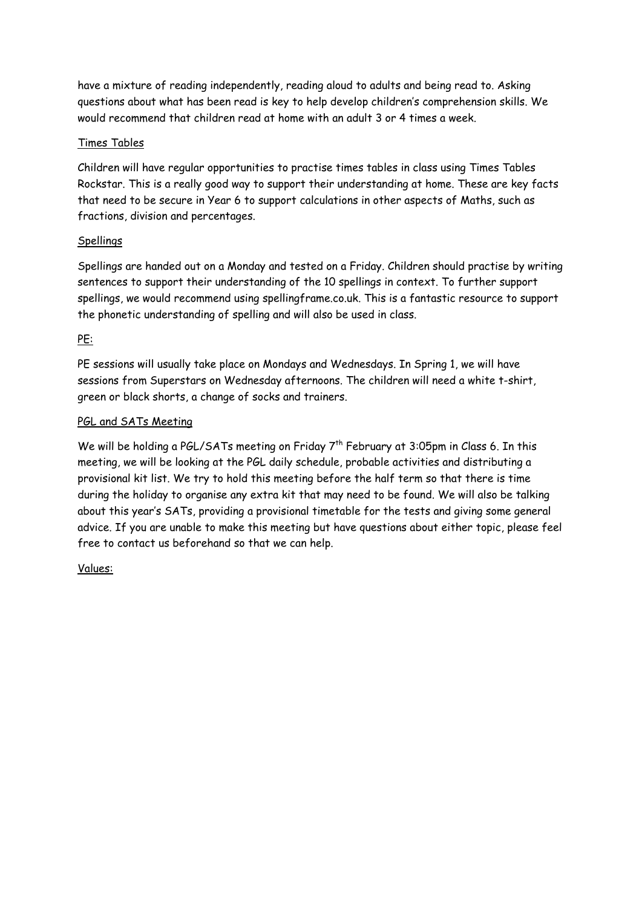have a mixture of reading independently, reading aloud to adults and being read to. Asking questions about what has been read is key to help develop children's comprehension skills. We would recommend that children read at home with an adult 3 or 4 times a week.

#### Times Tables

Children will have regular opportunities to practise times tables in class using Times Tables Rockstar. This is a really good way to support their understanding at home. These are key facts that need to be secure in Year 6 to support calculations in other aspects of Maths, such as fractions, division and percentages.

#### Spellings

Spellings are handed out on a Monday and tested on a Friday. Children should practise by writing sentences to support their understanding of the 10 spellings in context. To further support spellings, we would recommend using spellingframe.co.uk. This is a fantastic resource to support the phonetic understanding of spelling and will also be used in class.

#### PE:

PE sessions will usually take place on Mondays and Wednesdays. In Spring 1, we will have sessions from Superstars on Wednesday afternoons. The children will need a white t-shirt, green or black shorts, a change of socks and trainers.

#### PGL and SATs Meeting

We will be holding a PGL/SATs meeting on Friday 7<sup>th</sup> February at 3:05pm in Class 6. In this meeting, we will be looking at the PGL daily schedule, probable activities and distributing a provisional kit list. We try to hold this meeting before the half term so that there is time during the holiday to organise any extra kit that may need to be found. We will also be talking about this year's SATs, providing a provisional timetable for the tests and giving some general advice. If you are unable to make this meeting but have questions about either topic, please feel free to contact us beforehand so that we can help.

#### Values: